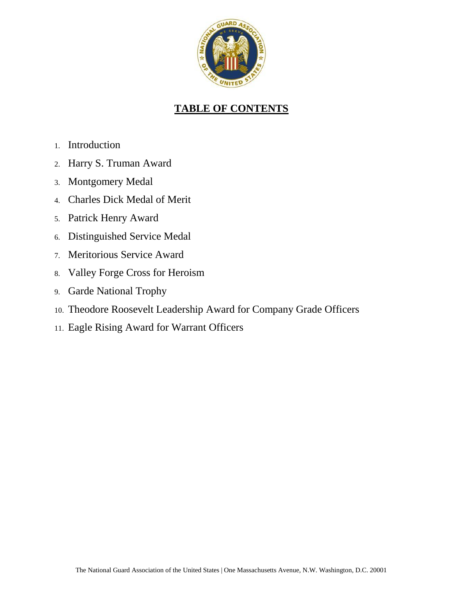

# **TABLE OF CONTENTS**

- 1. Introduction
- 2. Harry S. Truman Award
- 3. Montgomery Medal
- 4. Charles Dick Medal of Merit
- 5. Patrick Henry Award
- 6. Distinguished Service Medal
- 7. Meritorious Service Award
- 8. Valley Forge Cross for Heroism
- 9. Garde National Trophy
- 10. Theodore Roosevelt Leadership Award for Company Grade Officers
- 11. Eagle Rising Award for Warrant Officers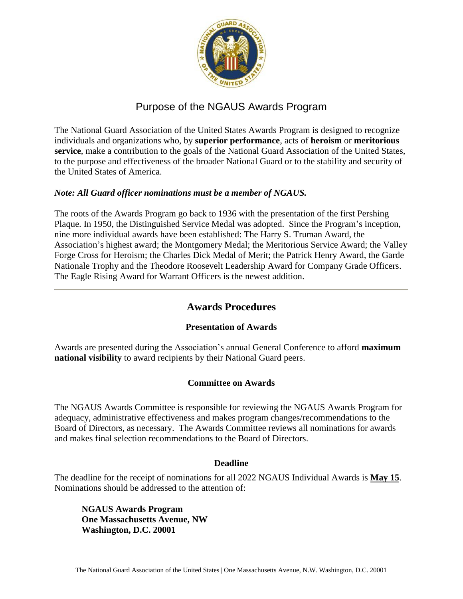

# Purpose of the NGAUS Awards Program

The National Guard Association of the United States Awards Program is designed to recognize individuals and organizations who, by **superior performance**, acts of **heroism** or **meritorious service**, make a contribution to the goals of the National Guard Association of the United States, to the purpose and effectiveness of the broader National Guard or to the stability and security of the United States of America.

#### *Note: All Guard officer nominations must be a member of NGAUS.*

The roots of the Awards Program go back to 1936 with the presentation of the first Pershing Plaque. In 1950, the Distinguished Service Medal was adopted. Since the Program's inception, nine more individual awards have been established: The Harry S. Truman Award, the Association's highest award; the Montgomery Medal; the Meritorious Service Award; the Valley Forge Cross for Heroism; the Charles Dick Medal of Merit; the Patrick Henry Award, the Garde Nationale Trophy and the Theodore Roosevelt Leadership Award for Company Grade Officers. The Eagle Rising Award for Warrant Officers is the newest addition.

## **Awards Procedures**

### **Presentation of Awards**

Awards are presented during the Association's annual General Conference to afford **maximum national visibility** to award recipients by their National Guard peers.

### **Committee on Awards**

The NGAUS Awards Committee is responsible for reviewing the NGAUS Awards Program for adequacy, administrative effectiveness and makes program changes/recommendations to the Board of Directors, as necessary. The Awards Committee reviews all nominations for awards and makes final selection recommendations to the Board of Directors.

#### **Deadline**

The deadline for the receipt of nominations for all 2022 NGAUS Individual Awards is **May 15**. Nominations should be addressed to the attention of:

**NGAUS Awards Program One Massachusetts Avenue, NW Washington, D.C. 20001**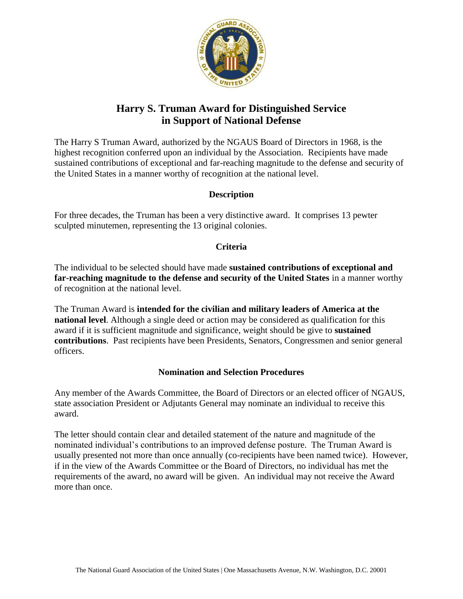

# **Harry S. Truman Award for Distinguished Service in Support of National Defense**

The Harry S Truman Award, authorized by the NGAUS Board of Directors in 1968, is the highest recognition conferred upon an individual by the Association. Recipients have made sustained contributions of exceptional and far-reaching magnitude to the defense and security of the United States in a manner worthy of recognition at the national level.

### **Description**

For three decades, the Truman has been a very distinctive award. It comprises 13 pewter sculpted minutemen, representing the 13 original colonies.

### **Criteria**

The individual to be selected should have made **sustained contributions of exceptional and far-reaching magnitude to the defense and security of the United States** in a manner worthy of recognition at the national level.

The Truman Award is **intended for the civilian and military leaders of America at the national level**. Although a single deed or action may be considered as qualification for this award if it is sufficient magnitude and significance, weight should be give to **sustained contributions**. Past recipients have been Presidents, Senators, Congressmen and senior general officers.

## **Nomination and Selection Procedures**

Any member of the Awards Committee, the Board of Directors or an elected officer of NGAUS, state association President or Adjutants General may nominate an individual to receive this award.

The letter should contain clear and detailed statement of the nature and magnitude of the nominated individual's contributions to an improved defense posture. The Truman Award is usually presented not more than once annually (co-recipients have been named twice). However, if in the view of the Awards Committee or the Board of Directors, no individual has met the requirements of the award, no award will be given. An individual may not receive the Award more than once.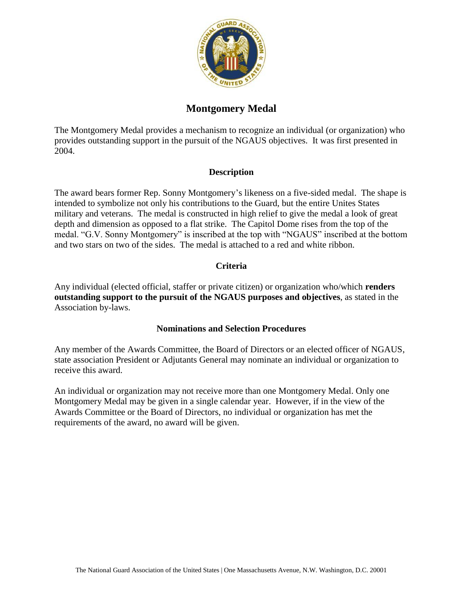

# **Montgomery Medal**

The Montgomery Medal provides a mechanism to recognize an individual (or organization) who provides outstanding support in the pursuit of the NGAUS objectives. It was first presented in 2004.

### **Description**

The award bears former Rep. Sonny Montgomery's likeness on a five-sided medal. The shape is intended to symbolize not only his contributions to the Guard, but the entire Unites States military and veterans. The medal is constructed in high relief to give the medal a look of great depth and dimension as opposed to a flat strike. The Capitol Dome rises from the top of the medal. "G.V. Sonny Montgomery" is inscribed at the top with "NGAUS" inscribed at the bottom and two stars on two of the sides. The medal is attached to a red and white ribbon.

## **Criteria**

Any individual (elected official, staffer or private citizen) or organization who/which **renders outstanding support to the pursuit of the NGAUS purposes and objectives**, as stated in the Association by-laws.

### **Nominations and Selection Procedures**

Any member of the Awards Committee, the Board of Directors or an elected officer of NGAUS, state association President or Adjutants General may nominate an individual or organization to receive this award.

An individual or organization may not receive more than one Montgomery Medal. Only one Montgomery Medal may be given in a single calendar year. However, if in the view of the Awards Committee or the Board of Directors, no individual or organization has met the requirements of the award, no award will be given.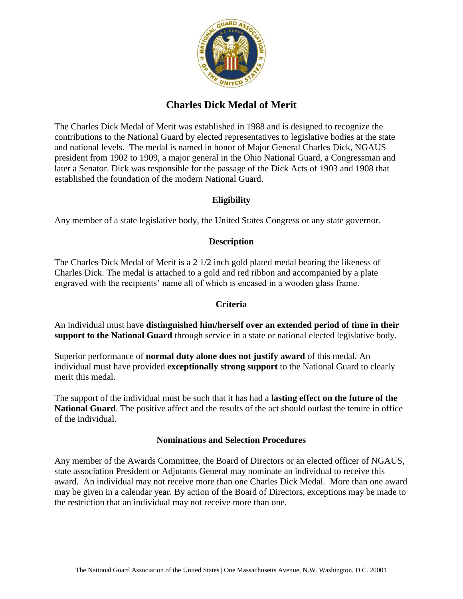

# **Charles Dick Medal of Merit**

The Charles Dick Medal of Merit was established in 1988 and is designed to recognize the contributions to the National Guard by elected representatives to legislative bodies at the state and national levels. The medal is named in honor of Major General Charles Dick, NGAUS president from 1902 to 1909, a major general in the Ohio National Guard, a Congressman and later a Senator. Dick was responsible for the passage of the Dick Acts of 1903 and 1908 that established the foundation of the modern National Guard.

## **Eligibility**

Any member of a state legislative body, the United States Congress or any state governor.

### **Description**

The Charles Dick Medal of Merit is a 2 1/2 inch gold plated medal bearing the likeness of Charles Dick. The medal is attached to a gold and red ribbon and accompanied by a plate engraved with the recipients' name all of which is encased in a wooden glass frame.

### **Criteria**

An individual must have **distinguished him/herself over an extended period of time in their support to the National Guard** through service in a state or national elected legislative body.

Superior performance of **normal duty alone does not justify award** of this medal. An individual must have provided **exceptionally strong support** to the National Guard to clearly merit this medal.

The support of the individual must be such that it has had a **lasting effect on the future of the National Guard**. The positive affect and the results of the act should outlast the tenure in office of the individual.

### **Nominations and Selection Procedures**

Any member of the Awards Committee, the Board of Directors or an elected officer of NGAUS, state association President or Adjutants General may nominate an individual to receive this award. An individual may not receive more than one Charles Dick Medal. More than one award may be given in a calendar year. By action of the Board of Directors, exceptions may be made to the restriction that an individual may not receive more than one.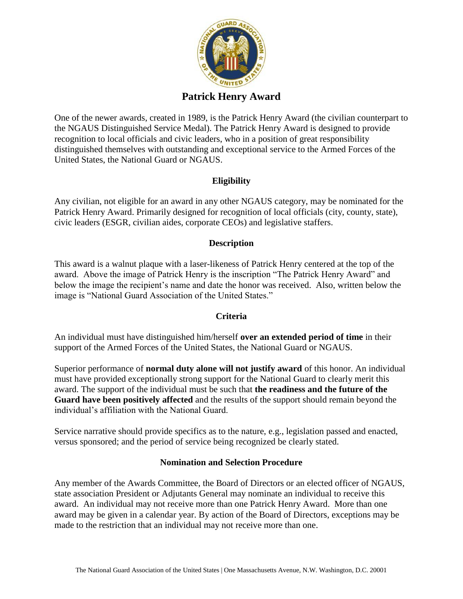

## **Patrick Henry Award**

One of the newer awards, created in 1989, is the Patrick Henry Award (the civilian counterpart to the NGAUS Distinguished Service Medal). The Patrick Henry Award is designed to provide recognition to local officials and civic leaders, who in a position of great responsibility distinguished themselves with outstanding and exceptional service to the Armed Forces of the United States, the National Guard or NGAUS.

## **Eligibility**

Any civilian, not eligible for an award in any other NGAUS category, may be nominated for the Patrick Henry Award. Primarily designed for recognition of local officials (city, county, state), civic leaders (ESGR, civilian aides, corporate CEOs) and legislative staffers.

## **Description**

This award is a walnut plaque with a laser-likeness of Patrick Henry centered at the top of the award. Above the image of Patrick Henry is the inscription "The Patrick Henry Award" and below the image the recipient's name and date the honor was received. Also, written below the image is "National Guard Association of the United States."

## **Criteria**

An individual must have distinguished him/herself **over an extended period of time** in their support of the Armed Forces of the United States, the National Guard or NGAUS.

Superior performance of **normal duty alone will not justify award** of this honor. An individual must have provided exceptionally strong support for the National Guard to clearly merit this award. The support of the individual must be such that **the readiness and the future of the Guard have been positively affected** and the results of the support should remain beyond the individual's affiliation with the National Guard.

Service narrative should provide specifics as to the nature, e.g., legislation passed and enacted, versus sponsored; and the period of service being recognized be clearly stated.

### **Nomination and Selection Procedure**

Any member of the Awards Committee, the Board of Directors or an elected officer of NGAUS, state association President or Adjutants General may nominate an individual to receive this award. An individual may not receive more than one Patrick Henry Award. More than one award may be given in a calendar year. By action of the Board of Directors, exceptions may be made to the restriction that an individual may not receive more than one.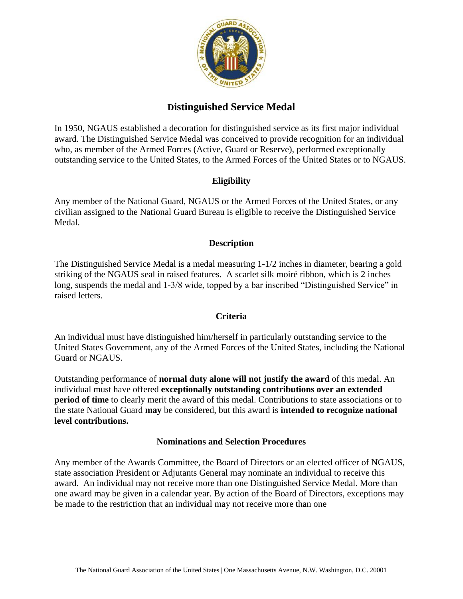

# **Distinguished Service Medal**

In 1950, NGAUS established a decoration for distinguished service as its first major individual award. The Distinguished Service Medal was conceived to provide recognition for an individual who, as member of the Armed Forces (Active, Guard or Reserve), performed exceptionally outstanding service to the United States, to the Armed Forces of the United States or to NGAUS.

## **Eligibility**

Any member of the National Guard, NGAUS or the Armed Forces of the United States, or any civilian assigned to the National Guard Bureau is eligible to receive the Distinguished Service Medal.

### **Description**

The Distinguished Service Medal is a medal measuring 1-1/2 inches in diameter, bearing a gold striking of the NGAUS seal in raised features. A scarlet silk moiré ribbon, which is 2 inches long, suspends the medal and 1-3/8 wide, topped by a bar inscribed "Distinguished Service" in raised letters.

### **Criteria**

An individual must have distinguished him/herself in particularly outstanding service to the United States Government, any of the Armed Forces of the United States, including the National Guard or NGAUS.

Outstanding performance of **normal duty alone will not justify the award** of this medal. An individual must have offered **exceptionally outstanding contributions over an extended period of time** to clearly merit the award of this medal. Contributions to state associations or to the state National Guard **may** be considered, but this award is **intended to recognize national level contributions.**

### **Nominations and Selection Procedures**

Any member of the Awards Committee, the Board of Directors or an elected officer of NGAUS, state association President or Adjutants General may nominate an individual to receive this award. An individual may not receive more than one Distinguished Service Medal. More than one award may be given in a calendar year. By action of the Board of Directors, exceptions may be made to the restriction that an individual may not receive more than one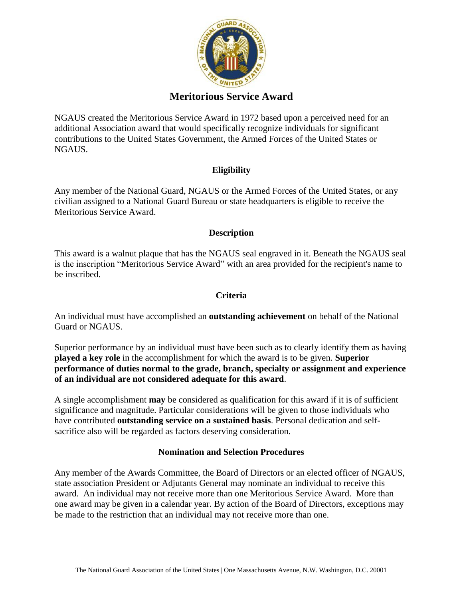

## **Meritorious Service Award**

NGAUS created the Meritorious Service Award in 1972 based upon a perceived need for an additional Association award that would specifically recognize individuals for significant contributions to the United States Government, the Armed Forces of the United States or NGAUS.

## **Eligibility**

Any member of the National Guard, NGAUS or the Armed Forces of the United States, or any civilian assigned to a National Guard Bureau or state headquarters is eligible to receive the Meritorious Service Award.

### **Description**

This award is a walnut plaque that has the NGAUS seal engraved in it. Beneath the NGAUS seal is the inscription "Meritorious Service Award" with an area provided for the recipient's name to be inscribed.

## **Criteria**

An individual must have accomplished an **outstanding achievement** on behalf of the National Guard or NGAUS.

Superior performance by an individual must have been such as to clearly identify them as having **played a key role** in the accomplishment for which the award is to be given. **Superior performance of duties normal to the grade, branch, specialty or assignment and experience of an individual are not considered adequate for this award**.

A single accomplishment **may** be considered as qualification for this award if it is of sufficient significance and magnitude. Particular considerations will be given to those individuals who have contributed **outstanding service on a sustained basis**. Personal dedication and selfsacrifice also will be regarded as factors deserving consideration.

### **Nomination and Selection Procedures**

Any member of the Awards Committee, the Board of Directors or an elected officer of NGAUS, state association President or Adjutants General may nominate an individual to receive this award. An individual may not receive more than one Meritorious Service Award. More than one award may be given in a calendar year. By action of the Board of Directors, exceptions may be made to the restriction that an individual may not receive more than one.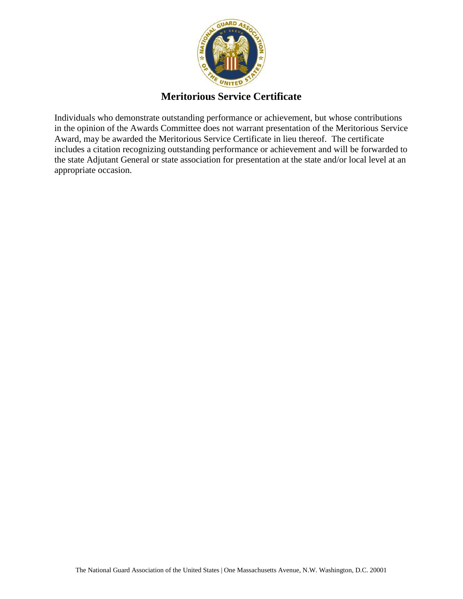

## **Meritorious Service Certificate**

Individuals who demonstrate outstanding performance or achievement, but whose contributions in the opinion of the Awards Committee does not warrant presentation of the Meritorious Service Award, may be awarded the Meritorious Service Certificate in lieu thereof. The certificate includes a citation recognizing outstanding performance or achievement and will be forwarded to the state Adjutant General or state association for presentation at the state and/or local level at an appropriate occasion.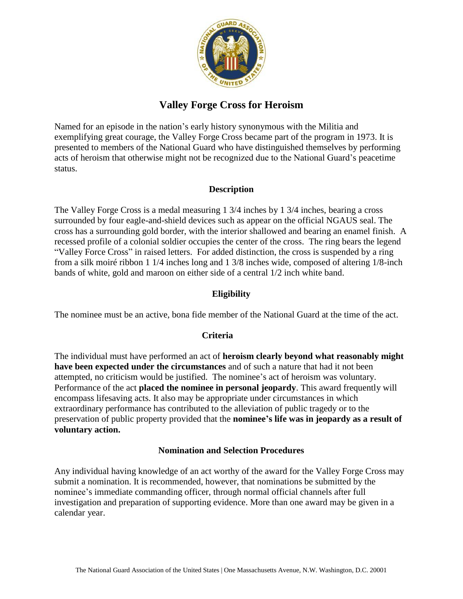

# **Valley Forge Cross for Heroism**

Named for an episode in the nation's early history synonymous with the Militia and exemplifying great courage, the Valley Forge Cross became part of the program in 1973. It is presented to members of the National Guard who have distinguished themselves by performing acts of heroism that otherwise might not be recognized due to the National Guard's peacetime status.

## **Description**

The Valley Forge Cross is a medal measuring 1 3/4 inches by 1 3/4 inches, bearing a cross surrounded by four eagle-and-shield devices such as appear on the official NGAUS seal. The cross has a surrounding gold border, with the interior shallowed and bearing an enamel finish. A recessed profile of a colonial soldier occupies the center of the cross. The ring bears the legend "Valley Force Cross" in raised letters. For added distinction, the cross is suspended by a ring from a silk moiré ribbon 1 1/4 inches long and 1 3/8 inches wide, composed of altering 1/8-inch bands of white, gold and maroon on either side of a central 1/2 inch white band.

## **Eligibility**

The nominee must be an active, bona fide member of the National Guard at the time of the act.

### **Criteria**

The individual must have performed an act of **heroism clearly beyond what reasonably might have been expected under the circumstances** and of such a nature that had it not been attempted, no criticism would be justified. The nominee's act of heroism was voluntary. Performance of the act **placed the nominee in personal jeopardy**. This award frequently will encompass lifesaving acts. It also may be appropriate under circumstances in which extraordinary performance has contributed to the alleviation of public tragedy or to the preservation of public property provided that the **nominee's life was in jeopardy as a result of voluntary action.** 

### **Nomination and Selection Procedures**

Any individual having knowledge of an act worthy of the award for the Valley Forge Cross may submit a nomination. It is recommended, however, that nominations be submitted by the nominee's immediate commanding officer, through normal official channels after full investigation and preparation of supporting evidence. More than one award may be given in a calendar year.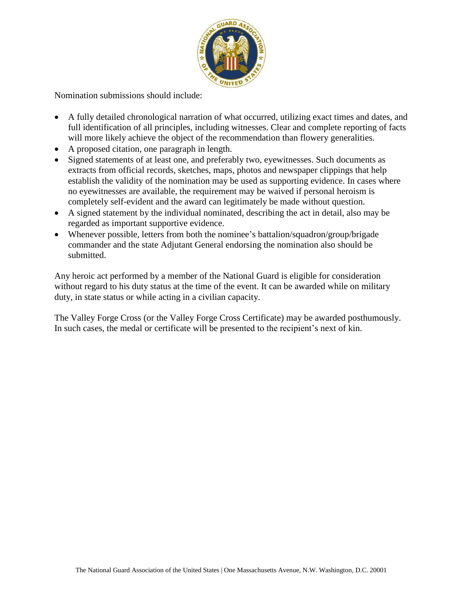

Nomination submissions should include:

- A fully detailed chronological narration of what occurred, utilizing exact times and dates, and full identification of all principles, including witnesses. Clear and complete reporting of facts will more likely achieve the object of the recommendation than flowery generalities.
- A proposed citation, one paragraph in length.
- Signed statements of at least one, and preferably two, eyewitnesses. Such documents as extracts from official records, sketches, maps, photos and newspaper clippings that help establish the validity of the nomination may be used as supporting evidence. In cases where no eyewitnesses are available, the requirement may be waived if personal heroism is completely self-evident and the award can legitimately be made without question.
- A signed statement by the individual nominated, describing the act in detail, also may be regarded as important supportive evidence.
- Whenever possible, letters from both the nominee's battalion/squadron/group/brigade commander and the state Adjutant General endorsing the nomination also should be submitted.

Any heroic act performed by a member of the National Guard is eligible for consideration without regard to his duty status at the time of the event. It can be awarded while on military duty, in state status or while acting in a civilian capacity.

The Valley Forge Cross (or the Valley Forge Cross Certificate) may be awarded posthumously. In such cases, the medal or certificate will be presented to the recipient's next of kin.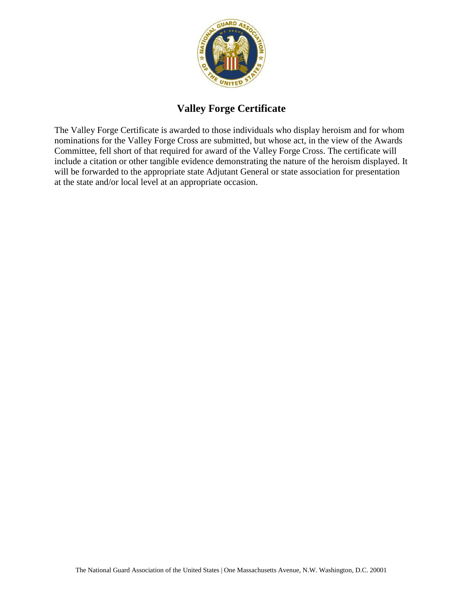

# **Valley Forge Certificate**

The Valley Forge Certificate is awarded to those individuals who display heroism and for whom nominations for the Valley Forge Cross are submitted, but whose act, in the view of the Awards Committee, fell short of that required for award of the Valley Forge Cross. The certificate will include a citation or other tangible evidence demonstrating the nature of the heroism displayed. It will be forwarded to the appropriate state Adjutant General or state association for presentation at the state and/or local level at an appropriate occasion.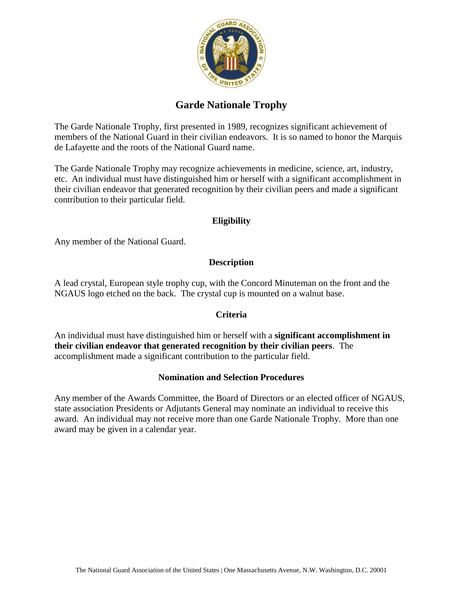

# **Garde Nationale Trophy**

The Garde Nationale Trophy, first presented in 1989, recognizes significant achievement of members of the National Guard in their civilian endeavors. It is so named to honor the Marquis de Lafayette and the roots of the National Guard name.

The Garde Nationale Trophy may recognize achievements in medicine, science, art, industry, etc. An individual must have distinguished him or herself with a significant accomplishment in their civilian endeavor that generated recognition by their civilian peers and made a significant contribution to their particular field.

### **Eligibility**

Any member of the National Guard.

### **Description**

A lead crystal, European style trophy cup, with the Concord Minuteman on the front and the NGAUS logo etched on the back. The crystal cup is mounted on a walnut base.

### **Criteria**

An individual must have distinguished him or herself with a **significant accomplishment in their civilian endeavor that generated recognition by their civilian peers**. The accomplishment made a significant contribution to the particular field.

#### **Nomination and Selection Procedures**

Any member of the Awards Committee, the Board of Directors or an elected officer of NGAUS, state association Presidents or Adjutants General may nominate an individual to receive this award. An individual may not receive more than one Garde Nationale Trophy. More than one award may be given in a calendar year.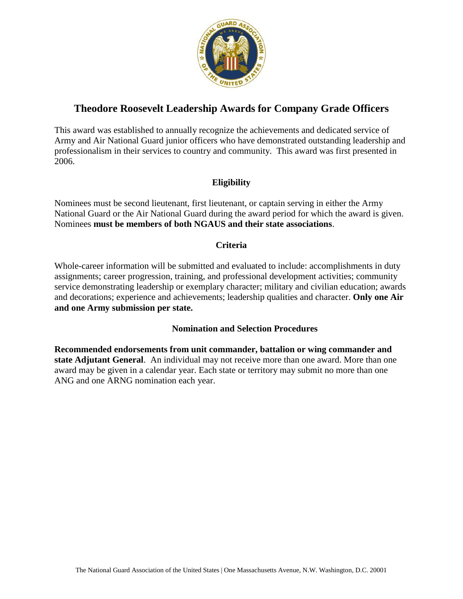

# **Theodore Roosevelt Leadership Awards for Company Grade Officers**

This award was established to annually recognize the achievements and dedicated service of Army and Air National Guard junior officers who have demonstrated outstanding leadership and professionalism in their services to country and community. This award was first presented in 2006.

## **Eligibility**

Nominees must be second lieutenant, first lieutenant, or captain serving in either the Army National Guard or the Air National Guard during the award period for which the award is given. Nominees **must be members of both NGAUS and their state associations**.

### **Criteria**

Whole-career information will be submitted and evaluated to include: accomplishments in duty assignments; career progression, training, and professional development activities; community service demonstrating leadership or exemplary character; military and civilian education; awards and decorations; experience and achievements; leadership qualities and character. **Only one Air and one Army submission per state.**

### **Nomination and Selection Procedures**

**Recommended endorsements from unit commander, battalion or wing commander and state Adjutant General**. An individual may not receive more than one award. More than one award may be given in a calendar year. Each state or territory may submit no more than one ANG and one ARNG nomination each year.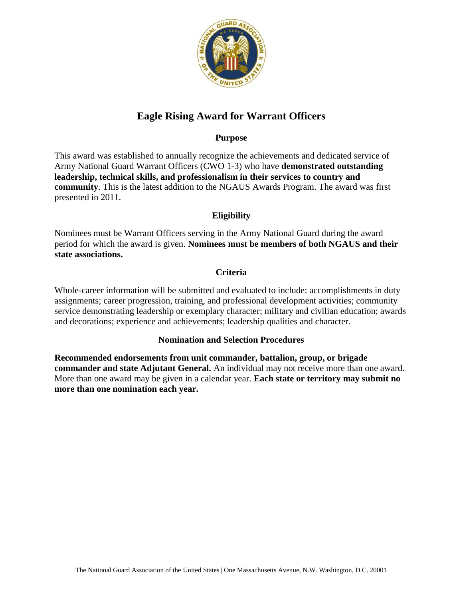

# **Eagle Rising Award for Warrant Officers**

### **Purpose**

This award was established to annually recognize the achievements and dedicated service of Army National Guard Warrant Officers (CWO 1-3) who have **demonstrated outstanding leadership, technical skills, and professionalism in their services to country and community**. This is the latest addition to the NGAUS Awards Program. The award was first presented in 2011.

## **Eligibility**

Nominees must be Warrant Officers serving in the Army National Guard during the award period for which the award is given. **Nominees must be members of both NGAUS and their state associations.**

### **Criteria**

Whole-career information will be submitted and evaluated to include: accomplishments in duty assignments; career progression, training, and professional development activities; community service demonstrating leadership or exemplary character; military and civilian education; awards and decorations; experience and achievements; leadership qualities and character.

### **Nomination and Selection Procedures**

**Recommended endorsements from unit commander, battalion, group, or brigade commander and state Adjutant General.** An individual may not receive more than one award. More than one award may be given in a calendar year. **Each state or territory may submit no more than one nomination each year.**